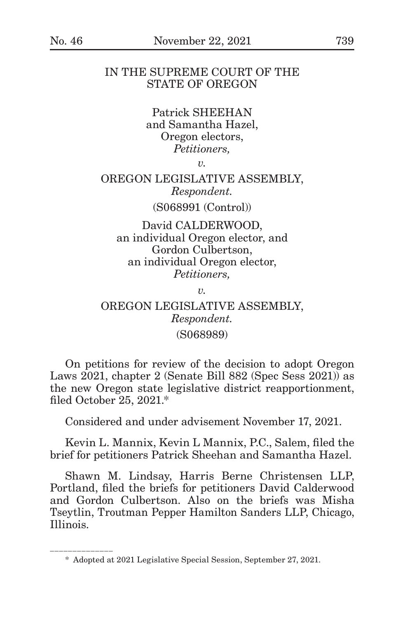#### IN THE SUPREME COURT OF THE STATE OF OREGON

Patrick SHEEHAN and Samantha Hazel, Oregon electors, *Petitioners,*

*v.*

# OREGON LEGISLATIVE ASSEMBLY, *Respondent.*

(S068991 (Control))

David CALDERWOOD, an individual Oregon elector, and Gordon Culbertson, an individual Oregon elector, *Petitioners,*

*v.*

OREGON LEGISLATIVE ASSEMBLY, *Respondent.* (S068989)

On petitions for review of the decision to adopt Oregon Laws  $2021$ , chapter 2 (Senate Bill 882 (Spec Sess  $2021$ ) as the new Oregon state legislative district reapportionment, filed October 25, 2021.\*

Considered and under advisement November 17, 2021.

Kevin L. Mannix, Kevin L Mannix, P.C., Salem, filed the brief for petitioners Patrick Sheehan and Samantha Hazel.

Shawn M. Lindsay, Harris Berne Christensen LLP, Portland, filed the briefs for petitioners David Calderwood and Gordon Culbertson. Also on the briefs was Misha Tseytlin, Troutman Pepper Hamilton Sanders LLP, Chicago, Illinois.

\_\_\_\_\_\_\_\_\_\_\_\_\_\_\_\_\_\_\_

<sup>\*</sup> Adopted at 2021 Legislative Special Session, September 27, 2021.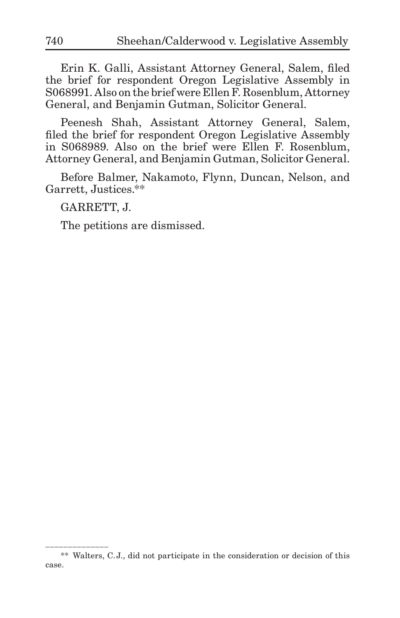Erin K. Galli, Assistant Attorney General, Salem, filed the brief for respondent Oregon Legislative Assembly in S068991. Also on the brief were Ellen F. Rosenblum, Attorney General, and Benjamin Gutman, Solicitor General.

Peenesh Shah, Assistant Attorney General, Salem, filed the brief for respondent Oregon Legislative Assembly in S068989. Also on the brief were Ellen F. Rosenblum, Attorney General, and Benjamin Gutman, Solicitor General.

Before Balmer, Nakamoto, Flynn, Duncan, Nelson, and Garrett, Justices.\*\*

GARRETT, J.

\_\_\_\_\_\_\_\_\_\_\_\_\_\_\_\_\_\_\_

The petitions are dismissed.

<sup>\*\*</sup> Walters, C.J., did not participate in the consideration or decision of this case.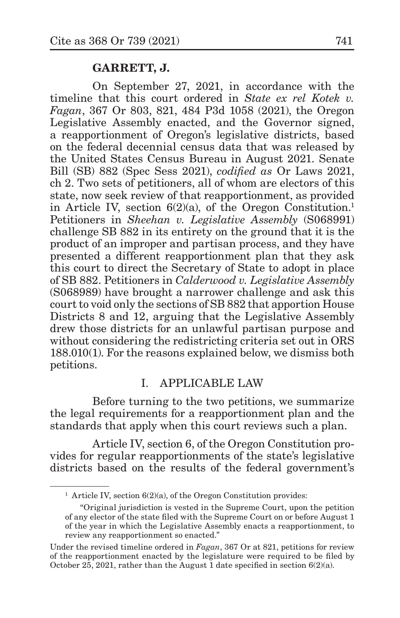### **GARRETT, J.**

On September 27, 2021, in accordance with the timeline that this court ordered in *State ex rel Kotek v. Fagan*, 367 Or 803, 821, 484 P3d 1058 (2021), the Oregon Legislative Assembly enacted, and the Governor signed, a reapportionment of Oregon's legislative districts, based on the federal decennial census data that was released by the United States Census Bureau in August 2021. Senate Bill (SB) 882 (Spec Sess 2021), *codified as* Or Laws 2021, ch 2. Two sets of petitioners, all of whom are electors of this state, now seek review of that reapportionment, as provided in Article IV, section  $6(2)(a)$ , of the Oregon Constitution.<sup>1</sup> Petitioners in *Sheehan v. Legislative Assembly* (S068991) challenge SB 882 in its entirety on the ground that it is the product of an improper and partisan process, and they have presented a different reapportionment plan that they ask this court to direct the Secretary of State to adopt in place of SB 882. Petitioners in *Calderwood v. Legislative Assembly* (S068989) have brought a narrower challenge and ask this court to void only the sections of SB 882 that apportion House Districts 8 and 12, arguing that the Legislative Assembly drew those districts for an unlawful partisan purpose and without considering the redistricting criteria set out in ORS 188.010(1). For the reasons explained below, we dismiss both petitions.

### I. APPLICABLE LAW

Before turning to the two petitions, we summarize the legal requirements for a reapportionment plan and the standards that apply when this court reviews such a plan.

Article IV, section 6, of the Oregon Constitution provides for regular reapportionments of the state's legislative districts based on the results of the federal government's

<sup>&</sup>lt;sup>1</sup> Article IV, section  $6(2)(a)$ , of the Oregon Constitution provides:

<sup>&</sup>quot;Original jurisdiction is vested in the Supreme Court, upon the petition of any elector of the state filed with the Supreme Court on or before August 1 of the year in which the Legislative Assembly enacts a reapportionment, to review any reapportionment so enacted."

Under the revised timeline ordered in *Fagan*, 367 Or at 821, petitions for review of the reapportionment enacted by the legislature were required to be filed by October 25, 2021, rather than the August 1 date specified in section 6(2)(a).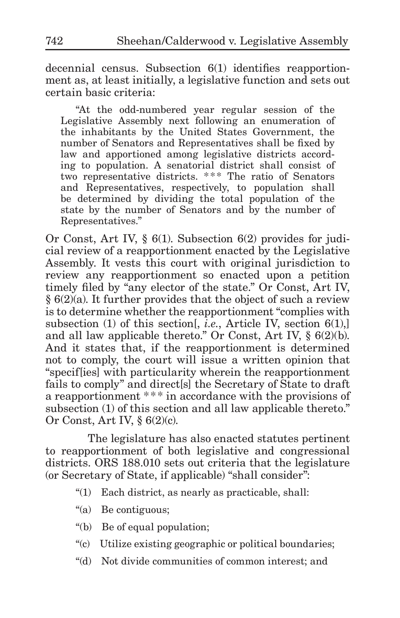decennial census. Subsection 6(1) identifies reapportionment as, at least initially, a legislative function and sets out certain basic criteria:

"At the odd-numbered year regular session of the Legislative Assembly next following an enumeration of the inhabitants by the United States Government, the number of Senators and Representatives shall be fixed by law and apportioned among legislative districts according to population. A senatorial district shall consist of two representative districts. \*\*\* The ratio of Senators and Representatives, respectively, to population shall be determined by dividing the total population of the state by the number of Senators and by the number of Representatives."

Or Const, Art IV, § 6(1). Subsection 6(2) provides for judicial review of a reapportionment enacted by the Legislative Assembly. It vests this court with original jurisdiction to review any reapportionment so enacted upon a petition timely filed by "any elector of the state." Or Const, Art IV, § 6(2)(a). It further provides that the object of such a review is to determine whether the reapportionment "complies with subsection (1) of this section[, *i.e.*, Article IV, section 6(1),] and all law applicable thereto." Or Const, Art IV, § 6(2)(b). And it states that, if the reapportionment is determined not to comply, the court will issue a written opinion that "specif[ies] with particularity wherein the reapportionment fails to comply" and direct[s] the Secretary of State to draft a reapportionment \* \* \* in accordance with the provisions of subsection (1) of this section and all law applicable thereto." Or Const, Art IV, § 6(2)(c).

The legislature has also enacted statutes pertinent to reapportionment of both legislative and congressional districts. ORS 188.010 sets out criteria that the legislature (or Secretary of State, if applicable) "shall consider":

- "(1) Each district, as nearly as practicable, shall:
- "(a) Be contiguous;
- "(b) Be of equal population;
- "(c) Utilize existing geographic or political boundaries;
- "(d) Not divide communities of common interest; and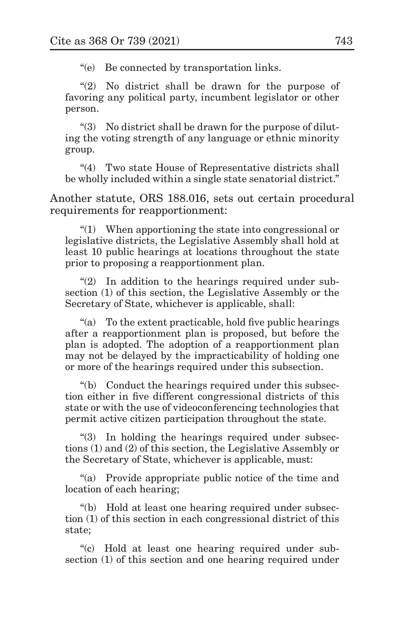"(e) Be connected by transportation links.

"(2) No district shall be drawn for the purpose of favoring any political party, incumbent legislator or other person.

"(3) No district shall be drawn for the purpose of diluting the voting strength of any language or ethnic minority group.

"(4) Two state House of Representative districts shall be wholly included within a single state senatorial district."

Another statute, ORS 188.016, sets out certain procedural requirements for reapportionment:

"(1) When apportioning the state into congressional or legislative districts, the Legislative Assembly shall hold at least 10 public hearings at locations throughout the state prior to proposing a reapportionment plan.

"(2) In addition to the hearings required under subsection (1) of this section, the Legislative Assembly or the Secretary of State, whichever is applicable, shall:

"(a) To the extent practicable, hold five public hearings after a reapportionment plan is proposed, but before the plan is adopted. The adoption of a reapportionment plan may not be delayed by the impracticability of holding one or more of the hearings required under this subsection.

"(b) Conduct the hearings required under this subsection either in five different congressional districts of this state or with the use of videoconferencing technologies that permit active citizen participation throughout the state.

"(3) In holding the hearings required under subsections (1) and (2) of this section, the Legislative Assembly or the Secretary of State, whichever is applicable, must:

"(a) Provide appropriate public notice of the time and location of each hearing;

"(b) Hold at least one hearing required under subsection (1) of this section in each congressional district of this state;

"(c) Hold at least one hearing required under subsection (1) of this section and one hearing required under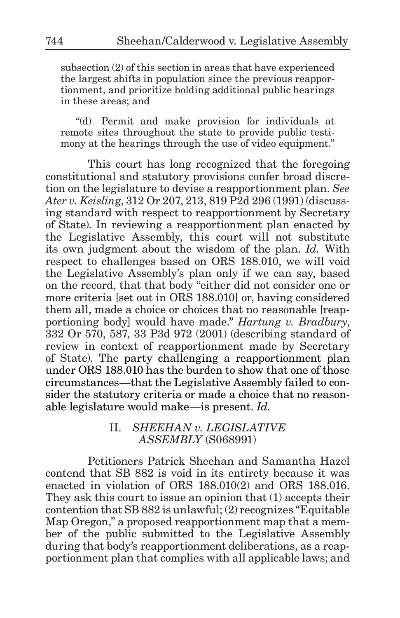subsection (2) of this section in areas that have experienced the largest shifts in population since the previous reapportionment, and prioritize holding additional public hearings in these areas; and

"(d) Permit and make provision for individuals at remote sites throughout the state to provide public testimony at the hearings through the use of video equipment."

This court has long recognized that the foregoing constitutional and statutory provisions confer broad discretion on the legislature to devise a reapportionment plan. *See Ater v. Keislin*g, 312 Or 207, 213, 819 P2d 296 (1991) (discussing standard with respect to reapportionment by Secretary of State). In reviewing a reapportionment plan enacted by the Legislative Assembly, this court will not substitute its own judgment about the wisdom of the plan. *Id.* With respect to challenges based on ORS 188.010, we will void the Legislative Assembly's plan only if we can say, based on the record, that that body "either did not consider one or more criteria [set out in ORS 188.010] or, having considered them all, made a choice or choices that no reasonable [reapportioning body] would have made." *Hartung v. Bradbury*, 332 Or 570, 587, 33 P3d 972 (2001) (describing standard of review in context of reapportionment made by Secretary of State). The party challenging a reapportionment plan under ORS 188.010 has the burden to show that one of those circumstances—that the Legislative Assembly failed to consider the statutory criteria or made a choice that no reasonable legislature would make—is present. *Id.*

### II. *SHEEHAN v. LEGISLATIVE ASSEMBLY* (S068991)

Petitioners Patrick Sheehan and Samantha Hazel contend that SB 882 is void in its entirety because it was enacted in violation of ORS 188.010(2) and ORS 188.016. They ask this court to issue an opinion that (1) accepts their contention that SB 882 is unlawful; (2) recognizes "Equitable Map Oregon," a proposed reapportionment map that a member of the public submitted to the Legislative Assembly during that body's reapportionment deliberations, as a reapportionment plan that complies with all applicable laws; and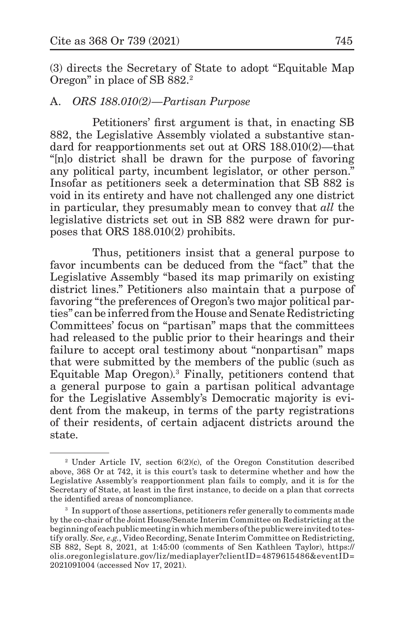(3) directs the Secretary of State to adopt "Equitable Map Oregon" in place of SB 882.2

### A. *ORS 188.010(2)—Partisan Purpose*

Petitioners' first argument is that, in enacting SB 882, the Legislative Assembly violated a substantive standard for reapportionments set out at ORS 188.010(2)—that "[n]o district shall be drawn for the purpose of favoring any political party, incumbent legislator, or other person." Insofar as petitioners seek a determination that SB 882 is void in its entirety and have not challenged any one district in particular, they presumably mean to convey that *all* the legislative districts set out in SB 882 were drawn for purposes that ORS 188.010(2) prohibits.

Thus, petitioners insist that a general purpose to favor incumbents can be deduced from the "fact" that the Legislative Assembly "based its map primarily on existing district lines." Petitioners also maintain that a purpose of favoring "the preferences of Oregon's two major political parties" can be inferred from the House and Senate Redistricting Committees' focus on "partisan" maps that the committees had released to the public prior to their hearings and their failure to accept oral testimony about "nonpartisan" maps that were submitted by the members of the public (such as Equitable Map Oregon).3 Finally, petitioners contend that a general purpose to gain a partisan political advantage for the Legislative Assembly's Democratic majority is evident from the makeup, in terms of the party registrations of their residents, of certain adjacent districts around the state.

<sup>2</sup> Under Article IV, section 6(2)(c), of the Oregon Constitution described above, 368 Or at 742, it is this court's task to determine whether and how the Legislative Assembly's reapportionment plan fails to comply, and it is for the Secretary of State, at least in the first instance, to decide on a plan that corrects the identified areas of noncompliance.

<sup>&</sup>lt;sup>3</sup> In support of those assertions, petitioners refer generally to comments made by the co-chair of the Joint House/Senate Interim Committee on Redistricting at the beginning of each public meeting in which members of the public were invited to testify orally. *See, e.g.*, Video Recording, Senate Interim Committee on Redistricting, SB 882, Sept 8, 2021, at 1:45:00 (comments of Sen Kathleen Taylor), https:// olis.oregonlegislature.gov/liz/mediaplayer?clientID=4879615486&eventID= 2021091004 (accessed Nov 17, 2021).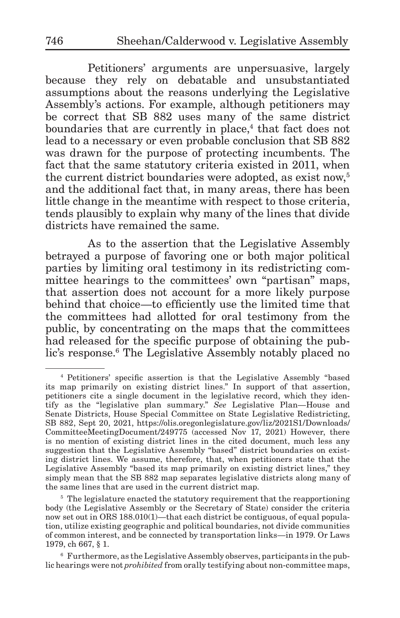Petitioners' arguments are unpersuasive, largely because they rely on debatable and unsubstantiated assumptions about the reasons underlying the Legislative Assembly's actions. For example, although petitioners may be correct that SB 882 uses many of the same district boundaries that are currently in place,<sup>4</sup> that fact does not lead to a necessary or even probable conclusion that SB 882 was drawn for the purpose of protecting incumbents. The fact that the same statutory criteria existed in 2011, when the current district boundaries were adopted, as exist now,<sup>5</sup> and the additional fact that, in many areas, there has been little change in the meantime with respect to those criteria, tends plausibly to explain why many of the lines that divide districts have remained the same.

As to the assertion that the Legislative Assembly betrayed a purpose of favoring one or both major political parties by limiting oral testimony in its redistricting committee hearings to the committees' own "partisan" maps, that assertion does not account for a more likely purpose behind that choice—to efficiently use the limited time that the committees had allotted for oral testimony from the public, by concentrating on the maps that the committees had released for the specific purpose of obtaining the public's response.<sup>6</sup> The Legislative Assembly notably placed no

<sup>4</sup> Petitioners' specific assertion is that the Legislative Assembly "based its map primarily on existing district lines." In support of that assertion, petitioners cite a single document in the legislative record, which they identify as the "legislative plan summary." *See* Legislative Plan—House and Senate Districts, House Special Committee on State Legislative Redistricting, SB 882, Sept 20, 2021, https://olis.oregonlegislature.gov/liz/2021S1/Downloads/ CommitteeMeetingDocument/249775 (accessed Nov 17, 2021) However, there is no mention of existing district lines in the cited document, much less any suggestion that the Legislative Assembly "based" district boundaries on existing district lines. We assume, therefore, that, when petitioners state that the Legislative Assembly "based its map primarily on existing district lines," they simply mean that the SB 882 map separates legislative districts along many of the same lines that are used in the current district map.

<sup>&</sup>lt;sup>5</sup> The legislature enacted the statutory requirement that the reapportioning body (the Legislative Assembly or the Secretary of State) consider the criteria now set out in ORS 188.010(1)—that each district be contiguous, of equal population, utilize existing geographic and political boundaries, not divide communities of common interest, and be connected by transportation links—in 1979. Or Laws 1979, ch 667, § 1.

<sup>6</sup> Furthermore, as the Legislative Assembly observes, participants in the public hearings were not *prohibited* from orally testifying about non-committee maps,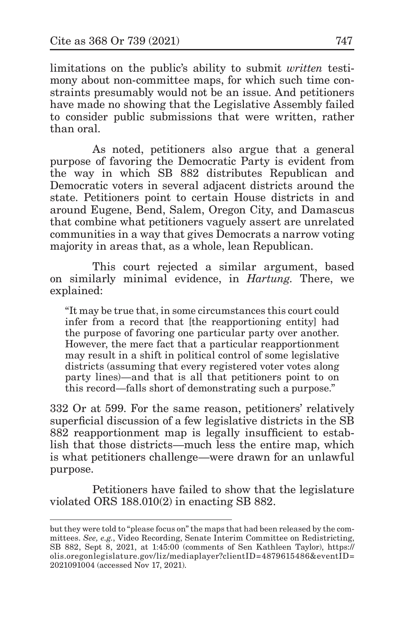limitations on the public's ability to submit *written* testimony about non-committee maps, for which such time constraints presumably would not be an issue. And petitioners have made no showing that the Legislative Assembly failed to consider public submissions that were written, rather than oral.

As noted, petitioners also argue that a general purpose of favoring the Democratic Party is evident from the way in which SB 882 distributes Republican and Democratic voters in several adjacent districts around the state. Petitioners point to certain House districts in and around Eugene, Bend, Salem, Oregon City, and Damascus that combine what petitioners vaguely assert are unrelated communities in a way that gives Democrats a narrow voting majority in areas that, as a whole, lean Republican.

This court rejected a similar argument, based on similarly minimal evidence, in *Hartung*. There, we explained:

"It may be true that, in some circumstances this court could infer from a record that [the reapportioning entity] had the purpose of favoring one particular party over another. However, the mere fact that a particular reapportionment may result in a shift in political control of some legislative districts (assuming that every registered voter votes along party lines)—and that is all that petitioners point to on this record—falls short of demonstrating such a purpose."

332 Or at 599. For the same reason, petitioners' relatively superficial discussion of a few legislative districts in the SB 882 reapportionment map is legally insufficient to establish that those districts—much less the entire map, which is what petitioners challenge—were drawn for an unlawful purpose.

Petitioners have failed to show that the legislature violated ORS 188.010(2) in enacting SB 882.

but they were told to "please focus on" the maps that had been released by the committees. *See, e.g.*, Video Recording, Senate Interim Committee on Redistricting, SB 882, Sept 8, 2021, at 1:45:00 (comments of Sen Kathleen Taylor), https:// olis.oregonlegislature.gov/liz/mediaplayer?clientID=4879615486&eventID= 2021091004 (accessed Nov 17, 2021).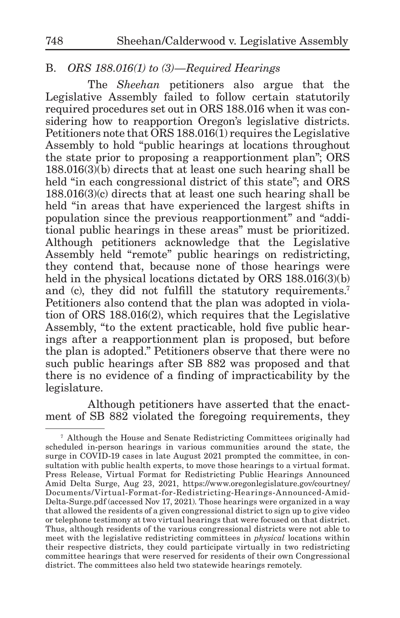## B. *ORS 188.016(1) to (3)—Required Hearings*

The *Sheehan* petitioners also argue that the Legislative Assembly failed to follow certain statutorily required procedures set out in ORS 188.016 when it was considering how to reapportion Oregon's legislative districts. Petitioners note that ORS 188.016(1) requires the Legislative Assembly to hold "public hearings at locations throughout the state prior to proposing a reapportionment plan"; ORS 188.016(3)(b) directs that at least one such hearing shall be held "in each congressional district of this state"; and ORS 188.016(3)(c) directs that at least one such hearing shall be held "in areas that have experienced the largest shifts in population since the previous reapportionment" and "additional public hearings in these areas" must be prioritized. Although petitioners acknowledge that the Legislative Assembly held "remote" public hearings on redistricting, they contend that, because none of those hearings were held in the physical locations dictated by ORS 188.016(3)(b) and (c), they did not fulfill the statutory requirements.<sup>7</sup> Petitioners also contend that the plan was adopted in violation of ORS 188.016(2), which requires that the Legislative Assembly, "to the extent practicable, hold five public hearings after a reapportionment plan is proposed, but before the plan is adopted." Petitioners observe that there were no such public hearings after SB 882 was proposed and that there is no evidence of a finding of impracticability by the legislature.

Although petitioners have asserted that the enactment of SB 882 violated the foregoing requirements, they

<sup>7</sup> Although the House and Senate Redistricting Committees originally had scheduled in-person hearings in various communities around the state, the surge in COVID-19 cases in late August 2021 prompted the committee, in consultation with public health experts, to move those hearings to a virtual format. Press Release, Virtual Format for Redistricting Public Hearings Announced Amid Delta Surge, Aug 23, 2021, https://www.oregonlegislature.gov/courtney/ Documents/Virtual-Format-for-Redistricting-Hearings-Announced-Amid-Delta-Surge.pdf (accessed Nov 17, 2021). Those hearings were organized in a way that allowed the residents of a given congressional district to sign up to give video or telephone testimony at two virtual hearings that were focused on that district. Thus, although residents of the various congressional districts were not able to meet with the legislative redistricting committees in *physical* locations within their respective districts, they could participate virtually in two redistricting committee hearings that were reserved for residents of their own Congressional district. The committees also held two statewide hearings remotely.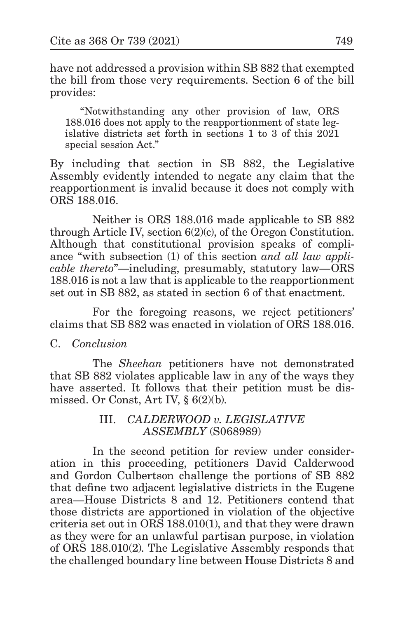have not addressed a provision within SB 882 that exempted the bill from those very requirements. Section 6 of the bill provides:

"Notwithstanding any other provision of law, ORS 188.016 does not apply to the reapportionment of state legislative districts set forth in sections 1 to 3 of this 2021 special session Act."

By including that section in SB 882, the Legislative Assembly evidently intended to negate any claim that the reapportionment is invalid because it does not comply with ORS 188.016.

Neither is ORS 188.016 made applicable to SB 882 through Article IV, section  $6(2)(c)$ , of the Oregon Constitution. Although that constitutional provision speaks of compliance "with subsection (1) of this section *and all law applicable thereto*"—including, presumably, statutory law—ORS 188.016 is not a law that is applicable to the reapportionment set out in SB 882, as stated in section 6 of that enactment.

For the foregoing reasons, we reject petitioners' claims that SB 882 was enacted in violation of ORS 188.016.

## C. *Conclusion*

The *Sheehan* petitioners have not demonstrated that SB 882 violates applicable law in any of the ways they have asserted. It follows that their petition must be dismissed. Or Const, Art IV, § 6(2)(b).

### III. *CALDERWOOD v. LEGISLATIVE ASSEMBLY* (S068989)

In the second petition for review under consideration in this proceeding, petitioners David Calderwood and Gordon Culbertson challenge the portions of SB 882 that define two adjacent legislative districts in the Eugene area—House Districts 8 and 12. Petitioners contend that those districts are apportioned in violation of the objective criteria set out in ORS 188.010(1), and that they were drawn as they were for an unlawful partisan purpose, in violation of ORS 188.010(2). The Legislative Assembly responds that the challenged boundary line between House Districts 8 and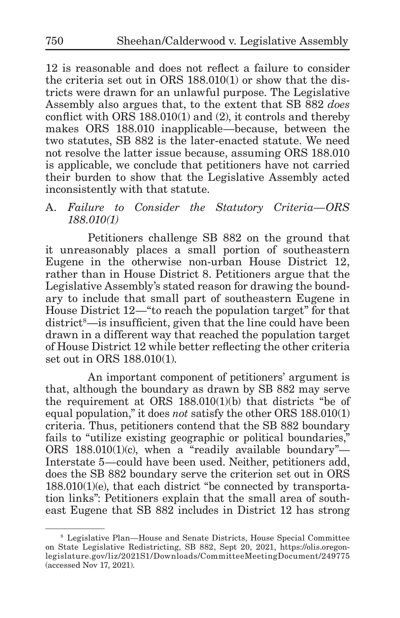12 is reasonable and does not reflect a failure to consider the criteria set out in ORS 188.010(1) or show that the districts were drawn for an unlawful purpose. The Legislative Assembly also argues that, to the extent that SB 882 *does* conflict with ORS 188.010(1) and (2), it controls and thereby makes ORS 188.010 inapplicable—because, between the two statutes, SB 882 is the later-enacted statute. We need not resolve the latter issue because, assuming ORS 188.010 is applicable, we conclude that petitioners have not carried their burden to show that the Legislative Assembly acted inconsistently with that statute.

## A. *Failure to Consider the Statutory Criteria—ORS 188.010(1)*

Petitioners challenge SB 882 on the ground that it unreasonably places a small portion of southeastern Eugene in the otherwise non-urban House District 12, rather than in House District 8. Petitioners argue that the Legislative Assembly's stated reason for drawing the boundary to include that small part of southeastern Eugene in House District 12—"to reach the population target" for that  $distric<sup>8</sup>$ —is insufficient, given that the line could have been drawn in a different way that reached the population target of House District 12 while better reflecting the other criteria set out in ORS 188.010(1).

An important component of petitioners' argument is that, although the boundary as drawn by SB 882 may serve the requirement at ORS 188.010(1)(b) that districts "be of equal population," it does *not* satisfy the other ORS 188.010(1) criteria. Thus, petitioners contend that the SB 882 boundary fails to "utilize existing geographic or political boundaries," ORS 188.010(1)(c), when a "readily available boundary"— Interstate 5—could have been used. Neither, petitioners add, does the SB 882 boundary serve the criterion set out in ORS 188.010(1)(e), that each district "be connected by transportation links": Petitioners explain that the small area of southeast Eugene that SB 882 includes in District 12 has strong

<sup>8</sup> Legislative Plan—House and Senate Districts, House Special Committee on State Legislative Redistricting, SB 882, Sept 20, 2021, https://olis.oregonlegislature.gov/liz/2021S1/Downloads/CommitteeMeetingDocument/249775 (accessed Nov 17, 2021).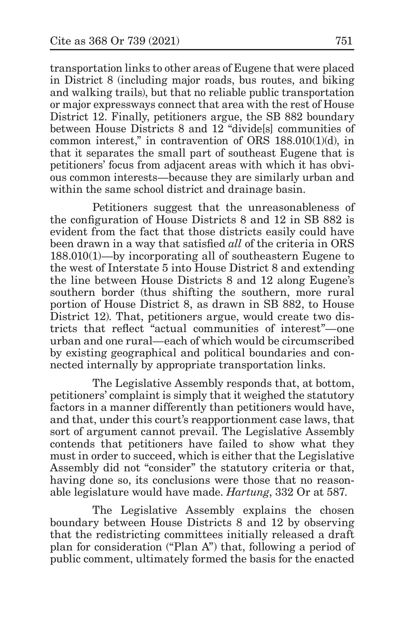transportation links to other areas of Eugene that were placed in District 8 (including major roads, bus routes, and biking and walking trails), but that no reliable public transportation or major expressways connect that area with the rest of House District 12. Finally, petitioners argue, the SB 882 boundary between House Districts 8 and 12 "divide[s] communities of common interest," in contravention of ORS 188.010(1)(d), in that it separates the small part of southeast Eugene that is petitioners' focus from adjacent areas with which it has obvious common interests—because they are similarly urban and within the same school district and drainage basin.

Petitioners suggest that the unreasonableness of the configuration of House Districts 8 and 12 in SB 882 is evident from the fact that those districts easily could have been drawn in a way that satisfied *all* of the criteria in ORS 188.010(1)—by incorporating all of southeastern Eugene to the west of Interstate 5 into House District 8 and extending the line between House Districts 8 and 12 along Eugene's southern border (thus shifting the southern, more rural portion of House District 8, as drawn in SB 882, to House District 12). That, petitioners argue, would create two districts that reflect "actual communities of interest"—one urban and one rural—each of which would be circumscribed by existing geographical and political boundaries and connected internally by appropriate transportation links.

The Legislative Assembly responds that, at bottom, petitioners' complaint is simply that it weighed the statutory factors in a manner differently than petitioners would have, and that, under this court's reapportionment case laws, that sort of argument cannot prevail. The Legislative Assembly contends that petitioners have failed to show what they must in order to succeed, which is either that the Legislative Assembly did not "consider" the statutory criteria or that, having done so, its conclusions were those that no reasonable legislature would have made. *Hartung*, 332 Or at 587.

The Legislative Assembly explains the chosen boundary between House Districts 8 and 12 by observing that the redistricting committees initially released a draft plan for consideration ("Plan A") that, following a period of public comment, ultimately formed the basis for the enacted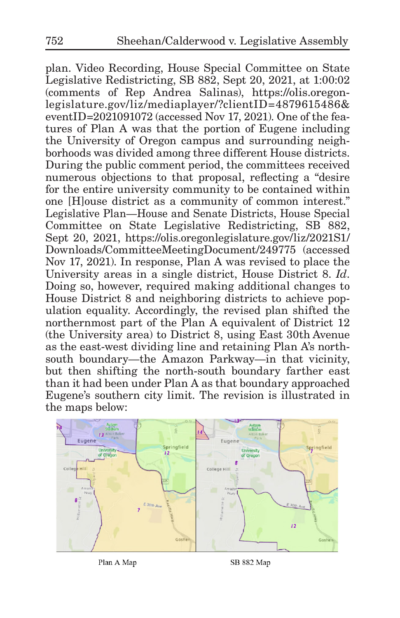plan. Video Recording, House Special Committee on State Legislative Redistricting, SB 882, Sept 20, 2021, at 1:00:02 (comments of Rep Andrea Salinas), https://olis.oregonlegislature.gov/liz/mediaplayer/?clientID=4879615486& eventID=2021091072 (accessed Nov 17, 2021). One of the features of Plan A was that the portion of Eugene including the University of Oregon campus and surrounding neighborhoods was divided among three different House districts. During the public comment period, the committees received numerous objections to that proposal, reflecting a "desire for the entire university community to be contained within one [H]ouse district as a community of common interest." Legislative Plan—House and Senate Districts, House Special Committee on State Legislative Redistricting, SB 882, Sept 20, 2021, https://olis.oregonlegislature.gov/liz/2021S1/ Downloads/CommitteeMeetingDocument/249775 (accessed Nov 17, 2021). In response, Plan A was revised to place the University areas in a single district, House District 8. *Id*. Doing so, however, required making additional changes to House District 8 and neighboring districts to achieve population equality. Accordingly, the revised plan shifted the northernmost part of the Plan A equivalent of District 12 (the University area) to District 8, using East 30th Avenue as the east-west dividing line and retaining Plan A's northsouth boundary—the Amazon Parkway—in that vicinity, but then shifting the north-south boundary farther east than it had been under Plan A as that boundary approached Eugene's southern city limit. The revision is illustrated in the maps below:



Plan A Map

SB 882 Map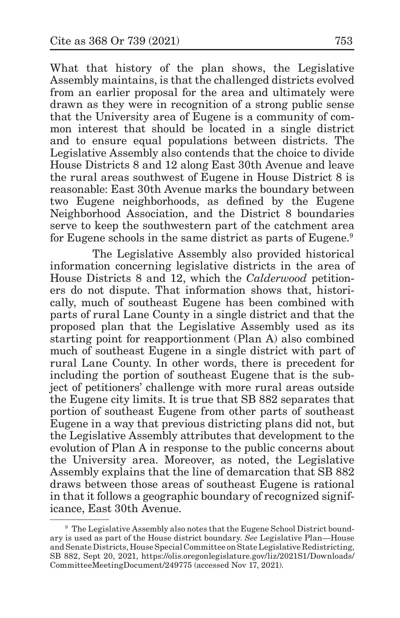What that history of the plan shows, the Legislative Assembly maintains, is that the challenged districts evolved from an earlier proposal for the area and ultimately were drawn as they were in recognition of a strong public sense that the University area of Eugene is a community of common interest that should be located in a single district and to ensure equal populations between districts. The Legislative Assembly also contends that the choice to divide House Districts 8 and 12 along East 30th Avenue and leave the rural areas southwest of Eugene in House District 8 is reasonable: East 30th Avenue marks the boundary between two Eugene neighborhoods, as defined by the Eugene Neighborhood Association, and the District 8 boundaries serve to keep the southwestern part of the catchment area for Eugene schools in the same district as parts of Eugene.<sup>9</sup>

The Legislative Assembly also provided historical information concerning legislative districts in the area of House Districts 8 and 12, which the *Calderwood* petitioners do not dispute. That information shows that, historically, much of southeast Eugene has been combined with parts of rural Lane County in a single district and that the proposed plan that the Legislative Assembly used as its starting point for reapportionment (Plan A) also combined much of southeast Eugene in a single district with part of rural Lane County. In other words, there is precedent for including the portion of southeast Eugene that is the subject of petitioners' challenge with more rural areas outside the Eugene city limits. It is true that SB 882 separates that portion of southeast Eugene from other parts of southeast Eugene in a way that previous districting plans did not, but the Legislative Assembly attributes that development to the evolution of Plan A in response to the public concerns about the University area. Moreover, as noted, the Legislative Assembly explains that the line of demarcation that SB 882 draws between those areas of southeast Eugene is rational in that it follows a geographic boundary of recognized significance, East 30th Avenue.

<sup>&</sup>lt;sup>9</sup> The Legislative Assembly also notes that the Eugene School District boundary is used as part of the House district boundary. *See* Legislative Plan—House and Senate Districts, House Special Committee on State Legislative Redistricting, SB 882, Sept 20, 2021, https://olis.oregonlegislature.gov/liz/2021S1/Downloads/ CommitteeMeetingDocument/249775 (accessed Nov 17, 2021).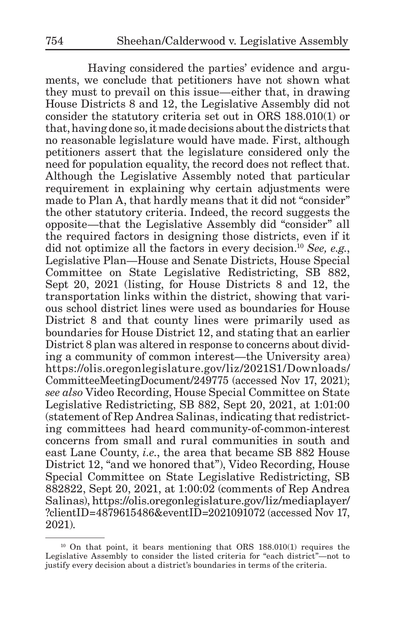Having considered the parties' evidence and arguments, we conclude that petitioners have not shown what they must to prevail on this issue—either that, in drawing House Districts 8 and 12, the Legislative Assembly did not consider the statutory criteria set out in ORS 188.010(1) or that, having done so, it made decisions about the districts that no reasonable legislature would have made. First, although petitioners assert that the legislature considered only the need for population equality, the record does not reflect that. Although the Legislative Assembly noted that particular requirement in explaining why certain adjustments were made to Plan A, that hardly means that it did not "consider" the other statutory criteria. Indeed, the record suggests the opposite—that the Legislative Assembly did "consider" all the required factors in designing those districts, even if it did not optimize all the factors in every decision.10 *See, e.g.*, Legislative Plan—House and Senate Districts, House Special Committee on State Legislative Redistricting, SB 882, Sept 20, 2021 (listing, for House Districts 8 and 12, the transportation links within the district, showing that various school district lines were used as boundaries for House District 8 and that county lines were primarily used as boundaries for House District 12, and stating that an earlier District 8 plan was altered in response to concerns about dividing a community of common interest—the University area) https://olis.oregonlegislature.gov/liz/2021S1/Downloads/ CommitteeMeetingDocument/249775 (accessed Nov 17, 2021); *see also* Video Recording, House Special Committee on State Legislative Redistricting, SB 882, Sept 20, 2021, at 1:01:00 (statement of Rep Andrea Salinas, indicating that redistricting committees had heard community-of-common-interest concerns from small and rural communities in south and east Lane County, *i.e.*, the area that became SB 882 House District 12, "and we honored that"), Video Recording, House Special Committee on State Legislative Redistricting, SB 882822, Sept 20, 2021, at 1:00:02 (comments of Rep Andrea Salinas), https://olis.oregonlegislature.gov/liz/mediaplayer/ ?clientID=4879615486&eventID=2021091072 (accessed Nov 17, 2021).

<sup>10</sup> On that point, it bears mentioning that ORS 188.010(1) requires the Legislative Assembly to consider the listed criteria for "each district"—not to justify every decision about a district's boundaries in terms of the criteria.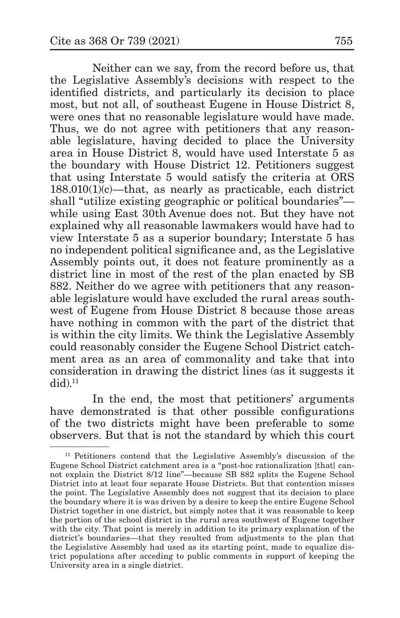Neither can we say, from the record before us, that the Legislative Assembly's decisions with respect to the identified districts, and particularly its decision to place most, but not all, of southeast Eugene in House District 8, were ones that no reasonable legislature would have made. Thus, we do not agree with petitioners that any reasonable legislature, having decided to place the University area in House District 8, would have used Interstate 5 as the boundary with House District 12. Petitioners suggest that using Interstate 5 would satisfy the criteria at ORS  $188.010(1)(c)$ —that, as nearly as practicable, each district shall "utilize existing geographic or political boundaries" while using East 30th Avenue does not. But they have not explained why all reasonable lawmakers would have had to view Interstate 5 as a superior boundary; Interstate 5 has no independent political significance and, as the Legislative Assembly points out, it does not feature prominently as a district line in most of the rest of the plan enacted by SB 882. Neither do we agree with petitioners that any reasonable legislature would have excluded the rural areas southwest of Eugene from House District 8 because those areas have nothing in common with the part of the district that is within the city limits. We think the Legislative Assembly could reasonably consider the Eugene School District catchment area as an area of commonality and take that into consideration in drawing the district lines (as it suggests it  $di$ d $i$ <sup>11</sup>

In the end, the most that petitioners' arguments have demonstrated is that other possible configurations of the two districts might have been preferable to some observers. But that is not the standard by which this court

<sup>11</sup> Petitioners contend that the Legislative Assembly's discussion of the Eugene School District catchment area is a "post-hoc rationalization [that] cannot explain the District 8/12 line"—because SB 882 splits the Eugene School District into at least four separate House Districts. But that contention misses the point. The Legislative Assembly does not suggest that its decision to place the boundary where it is was driven by a desire to keep the entire Eugene School District together in one district, but simply notes that it was reasonable to keep the portion of the school district in the rural area southwest of Eugene together with the city. That point is merely in addition to its primary explanation of the district's boundaries—that they resulted from adjustments to the plan that the Legislative Assembly had used as its starting point, made to equalize district populations after acceding to public comments in support of keeping the University area in a single district.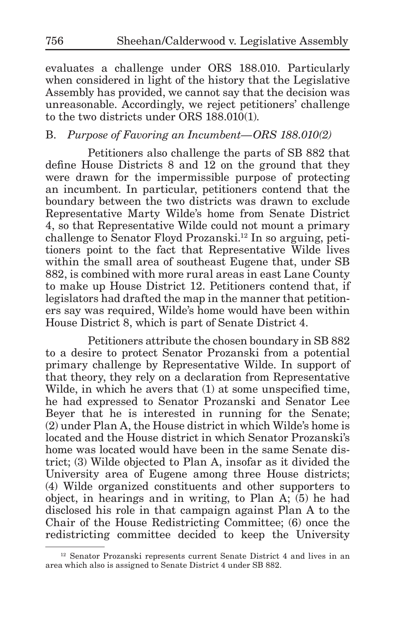evaluates a challenge under ORS 188.010. Particularly when considered in light of the history that the Legislative Assembly has provided, we cannot say that the decision was unreasonable. Accordingly, we reject petitioners' challenge to the two districts under ORS 188.010(1).

# B. *Purpose of Favoring an Incumbent—ORS 188.010(2)*

Petitioners also challenge the parts of SB 882 that define House Districts 8 and 12 on the ground that they were drawn for the impermissible purpose of protecting an incumbent. In particular, petitioners contend that the boundary between the two districts was drawn to exclude Representative Marty Wilde's home from Senate District 4, so that Representative Wilde could not mount a primary challenge to Senator Floyd Prozanski.12 In so arguing, petitioners point to the fact that Representative Wilde lives within the small area of southeast Eugene that, under SB 882, is combined with more rural areas in east Lane County to make up House District 12. Petitioners contend that, if legislators had drafted the map in the manner that petitioners say was required, Wilde's home would have been within House District 8, which is part of Senate District 4.

Petitioners attribute the chosen boundary in SB 882 to a desire to protect Senator Prozanski from a potential primary challenge by Representative Wilde. In support of that theory, they rely on a declaration from Representative Wilde, in which he avers that (1) at some unspecified time, he had expressed to Senator Prozanski and Senator Lee Beyer that he is interested in running for the Senate; (2) under Plan A, the House district in which Wilde's home is located and the House district in which Senator Prozanski's home was located would have been in the same Senate district; (3) Wilde objected to Plan A, insofar as it divided the University area of Eugene among three House districts; (4) Wilde organized constituents and other supporters to object, in hearings and in writing, to Plan A; (5) he had disclosed his role in that campaign against Plan A to the Chair of the House Redistricting Committee; (6) once the redistricting committee decided to keep the University

<sup>12</sup> Senator Prozanski represents current Senate District 4 and lives in an area which also is assigned to Senate District 4 under SB 882.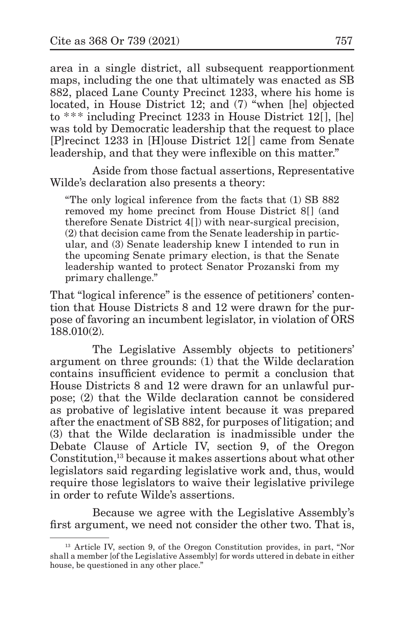area in a single district, all subsequent reapportionment maps, including the one that ultimately was enacted as SB 882, placed Lane County Precinct 1233, where his home is located, in House District 12; and (7) "when [he] objected to \*\*\* including Precinct 1233 in House District 12 $[i]$ , [he] was told by Democratic leadership that the request to place [P]recinct 1233 in [H]ouse District 12[] came from Senate leadership, and that they were inflexible on this matter."

Aside from those factual assertions, Representative Wilde's declaration also presents a theory:

"The only logical inference from the facts that (1) SB 882 removed my home precinct from House District 8[] (and therefore Senate District 4[]) with near-surgical precision, (2) that decision came from the Senate leadership in particular, and (3) Senate leadership knew I intended to run in the upcoming Senate primary election, is that the Senate leadership wanted to protect Senator Prozanski from my primary challenge."

That "logical inference" is the essence of petitioners' contention that House Districts 8 and 12 were drawn for the purpose of favoring an incumbent legislator, in violation of ORS 188.010(2).

The Legislative Assembly objects to petitioners' argument on three grounds: (1) that the Wilde declaration contains insufficient evidence to permit a conclusion that House Districts 8 and 12 were drawn for an unlawful purpose; (2) that the Wilde declaration cannot be considered as probative of legislative intent because it was prepared after the enactment of SB 882, for purposes of litigation; and (3) that the Wilde declaration is inadmissible under the Debate Clause of Article IV, section 9, of the Oregon Constitution,13 because it makes assertions about what other legislators said regarding legislative work and, thus, would require those legislators to waive their legislative privilege in order to refute Wilde's assertions.

Because we agree with the Legislative Assembly's first argument, we need not consider the other two. That is,

<sup>13</sup> Article IV, section 9, of the Oregon Constitution provides, in part, "Nor shall a member [of the Legislative Assembly] for words uttered in debate in either house, be questioned in any other place."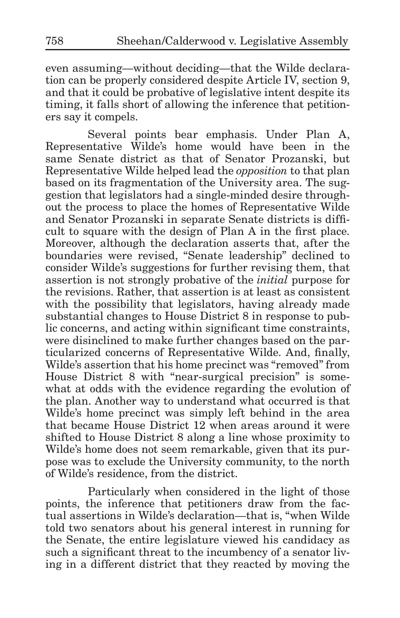even assuming—without deciding—that the Wilde declaration can be properly considered despite Article IV, section 9, and that it could be probative of legislative intent despite its timing, it falls short of allowing the inference that petitioners say it compels.

Several points bear emphasis. Under Plan A, Representative Wilde's home would have been in the same Senate district as that of Senator Prozanski, but Representative Wilde helped lead the *opposition* to that plan based on its fragmentation of the University area. The suggestion that legislators had a single-minded desire throughout the process to place the homes of Representative Wilde and Senator Prozanski in separate Senate districts is difficult to square with the design of Plan A in the first place. Moreover, although the declaration asserts that, after the boundaries were revised, "Senate leadership" declined to consider Wilde's suggestions for further revising them, that assertion is not strongly probative of the *initial* purpose for the revisions. Rather, that assertion is at least as consistent with the possibility that legislators, having already made substantial changes to House District 8 in response to public concerns, and acting within significant time constraints, were disinclined to make further changes based on the particularized concerns of Representative Wilde. And, finally, Wilde's assertion that his home precinct was "removed" from House District 8 with "near-surgical precision" is somewhat at odds with the evidence regarding the evolution of the plan. Another way to understand what occurred is that Wilde's home precinct was simply left behind in the area that became House District 12 when areas around it were shifted to House District 8 along a line whose proximity to Wilde's home does not seem remarkable, given that its purpose was to exclude the University community, to the north of Wilde's residence, from the district.

Particularly when considered in the light of those points, the inference that petitioners draw from the factual assertions in Wilde's declaration—that is, "when Wilde told two senators about his general interest in running for the Senate, the entire legislature viewed his candidacy as such a significant threat to the incumbency of a senator living in a different district that they reacted by moving the